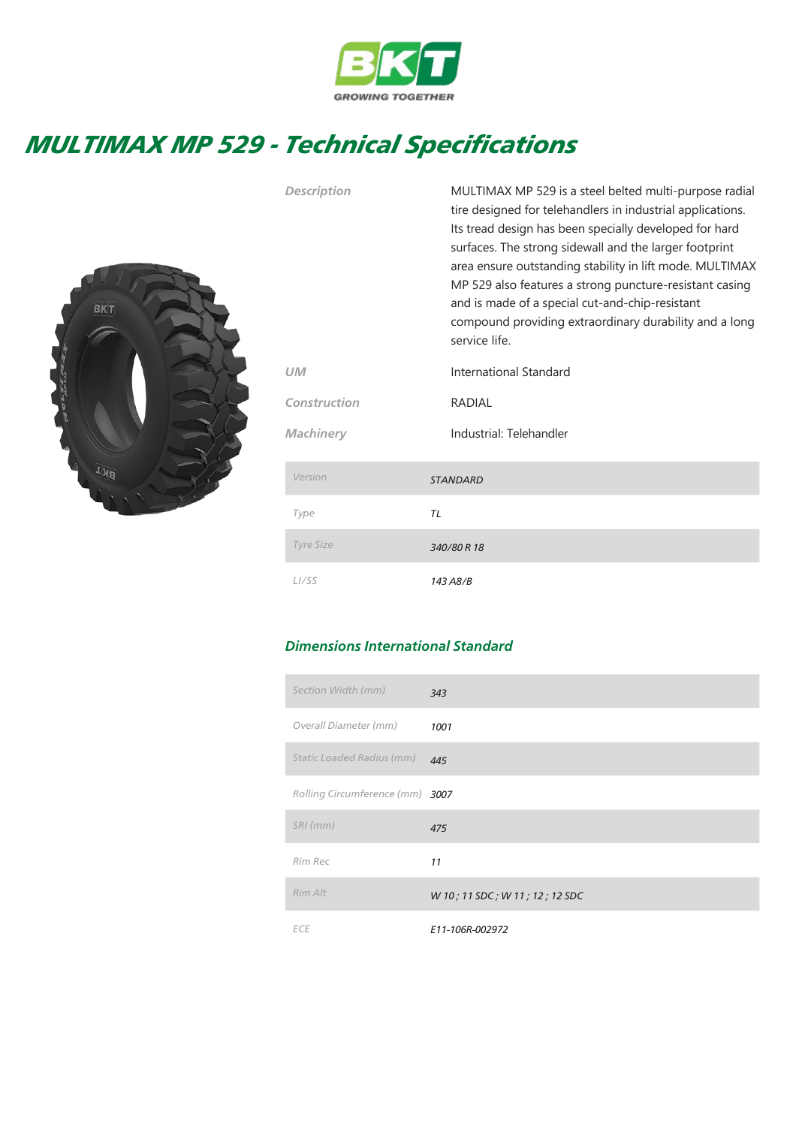

## MULTIMAX MP 529 - Technical Specifications



| Description        | MULTIMAX MP 529 is a steel belted multi-purpose radial<br>tire designed for telehandlers in industrial applications.<br>Its tread design has been specially developed for hard<br>surfaces. The strong sidewall and the larger footprint<br>area ensure outstanding stability in lift mode. MULTIMAX<br>MP 529 also features a strong puncture-resistant casing<br>and is made of a special cut-and-chip-resistant<br>compound providing extraordinary durability and a long<br>service life. |  |  |  |  |  |
|--------------------|-----------------------------------------------------------------------------------------------------------------------------------------------------------------------------------------------------------------------------------------------------------------------------------------------------------------------------------------------------------------------------------------------------------------------------------------------------------------------------------------------|--|--|--|--|--|
| UМ                 | International Standard                                                                                                                                                                                                                                                                                                                                                                                                                                                                        |  |  |  |  |  |
| Construction       | <b>RADIAL</b>                                                                                                                                                                                                                                                                                                                                                                                                                                                                                 |  |  |  |  |  |
| Machinery          | Industrial: Telehandler                                                                                                                                                                                                                                                                                                                                                                                                                                                                       |  |  |  |  |  |
| Version            | <b>STANDARD</b>                                                                                                                                                                                                                                                                                                                                                                                                                                                                               |  |  |  |  |  |
| Type               | TL                                                                                                                                                                                                                                                                                                                                                                                                                                                                                            |  |  |  |  |  |
| <b>Tyre Size</b>   | 340/80 R 18                                                                                                                                                                                                                                                                                                                                                                                                                                                                                   |  |  |  |  |  |
| L <sub>I</sub> /SS | 143 A8/B                                                                                                                                                                                                                                                                                                                                                                                                                                                                                      |  |  |  |  |  |

## Dimensions International Standard

| Section Width (mm)              | 343                            |
|---------------------------------|--------------------------------|
| Overall Diameter (mm)           | 1001                           |
| Static Loaded Radius (mm)       | 445                            |
| Rolling Circumference (mm) 3007 |                                |
| $SRI$ (mm)                      | 475                            |
| Rim Rec                         | 11                             |
| Rim Alt                         | W 10; 11 SDC; W 11; 12; 12 SDC |
| <b>ECE</b>                      | E11-106R-002972                |